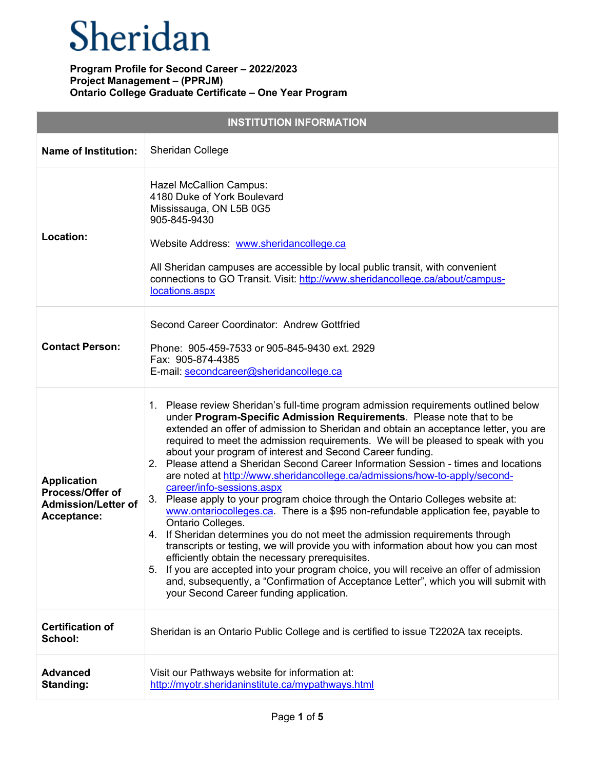## Sheridan

| <b>INSTITUTION INFORMATION</b>                                                             |                                                                                                                                                                                                                                                                                                                                                                                                                                                                                                                                                                                                                                                                                                                                                                                                                                                                                                                                                                                                                                                                                                                                                                                                                                                                     |  |
|--------------------------------------------------------------------------------------------|---------------------------------------------------------------------------------------------------------------------------------------------------------------------------------------------------------------------------------------------------------------------------------------------------------------------------------------------------------------------------------------------------------------------------------------------------------------------------------------------------------------------------------------------------------------------------------------------------------------------------------------------------------------------------------------------------------------------------------------------------------------------------------------------------------------------------------------------------------------------------------------------------------------------------------------------------------------------------------------------------------------------------------------------------------------------------------------------------------------------------------------------------------------------------------------------------------------------------------------------------------------------|--|
| <b>Name of Institution:</b>                                                                | Sheridan College                                                                                                                                                                                                                                                                                                                                                                                                                                                                                                                                                                                                                                                                                                                                                                                                                                                                                                                                                                                                                                                                                                                                                                                                                                                    |  |
| Location:                                                                                  | <b>Hazel McCallion Campus:</b><br>4180 Duke of York Boulevard<br>Mississauga, ON L5B 0G5<br>905-845-9430<br>Website Address: www.sheridancollege.ca<br>All Sheridan campuses are accessible by local public transit, with convenient<br>connections to GO Transit. Visit: http://www.sheridancollege.ca/about/campus-<br>locations.aspx                                                                                                                                                                                                                                                                                                                                                                                                                                                                                                                                                                                                                                                                                                                                                                                                                                                                                                                             |  |
| <b>Contact Person:</b>                                                                     | Second Career Coordinator: Andrew Gottfried<br>Phone: 905-459-7533 or 905-845-9430 ext. 2929<br>Fax: 905-874-4385<br>E-mail: secondcareer@sheridancollege.ca                                                                                                                                                                                                                                                                                                                                                                                                                                                                                                                                                                                                                                                                                                                                                                                                                                                                                                                                                                                                                                                                                                        |  |
| <b>Application</b><br><b>Process/Offer of</b><br><b>Admission/Letter of</b><br>Acceptance: | 1. Please review Sheridan's full-time program admission requirements outlined below<br>under Program-Specific Admission Requirements. Please note that to be<br>extended an offer of admission to Sheridan and obtain an acceptance letter, you are<br>required to meet the admission requirements. We will be pleased to speak with you<br>about your program of interest and Second Career funding.<br>2. Please attend a Sheridan Second Career Information Session - times and locations<br>are noted at http://www.sheridancollege.ca/admissions/how-to-apply/second-<br>career/info-sessions.aspx<br>Please apply to your program choice through the Ontario Colleges website at:<br>3.<br>www.ontariocolleges.ca. There is a \$95 non-refundable application fee, payable to<br>Ontario Colleges.<br>4. If Sheridan determines you do not meet the admission requirements through<br>transcripts or testing, we will provide you with information about how you can most<br>efficiently obtain the necessary prerequisites.<br>If you are accepted into your program choice, you will receive an offer of admission<br>5.<br>and, subsequently, a "Confirmation of Acceptance Letter", which you will submit with<br>your Second Career funding application. |  |
| <b>Certification of</b><br>School:                                                         | Sheridan is an Ontario Public College and is certified to issue T2202A tax receipts.                                                                                                                                                                                                                                                                                                                                                                                                                                                                                                                                                                                                                                                                                                                                                                                                                                                                                                                                                                                                                                                                                                                                                                                |  |
| <b>Advanced</b><br>Standing:                                                               | Visit our Pathways website for information at:<br>http://myotr.sheridaninstitute.ca/mypathways.html                                                                                                                                                                                                                                                                                                                                                                                                                                                                                                                                                                                                                                                                                                                                                                                                                                                                                                                                                                                                                                                                                                                                                                 |  |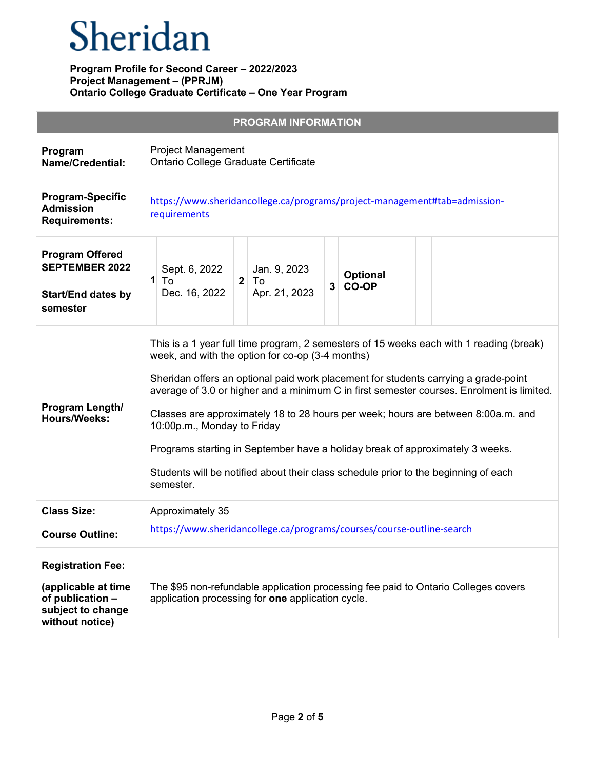# Sheridan

|                                                                                                             | <b>PROGRAM INFORMATION</b>                                                                                                                                                                                                                                                                                                                                                                                                                                                                                                                                                                                                               |
|-------------------------------------------------------------------------------------------------------------|------------------------------------------------------------------------------------------------------------------------------------------------------------------------------------------------------------------------------------------------------------------------------------------------------------------------------------------------------------------------------------------------------------------------------------------------------------------------------------------------------------------------------------------------------------------------------------------------------------------------------------------|
| Program<br><b>Name/Credential:</b>                                                                          | <b>Project Management</b><br>Ontario College Graduate Certificate                                                                                                                                                                                                                                                                                                                                                                                                                                                                                                                                                                        |
| <b>Program-Specific</b><br><b>Admission</b><br><b>Requirements:</b>                                         | https://www.sheridancollege.ca/programs/project-management#tab=admission-<br>requirements                                                                                                                                                                                                                                                                                                                                                                                                                                                                                                                                                |
| <b>Program Offered</b><br><b>SEPTEMBER 2022</b><br><b>Start/End dates by</b><br>semester                    | Sept. 6, 2022<br>Jan. 9, 2023<br><b>Optional</b><br>1<br>$2$ To<br>To<br><b>CO-OP</b><br>3 <sup>1</sup><br>Apr. 21, 2023<br>Dec. 16, 2022                                                                                                                                                                                                                                                                                                                                                                                                                                                                                                |
| Program Length/<br><b>Hours/Weeks:</b>                                                                      | This is a 1 year full time program, 2 semesters of 15 weeks each with 1 reading (break)<br>week, and with the option for co-op (3-4 months)<br>Sheridan offers an optional paid work placement for students carrying a grade-point<br>average of 3.0 or higher and a minimum C in first semester courses. Enrolment is limited.<br>Classes are approximately 18 to 28 hours per week; hours are between 8:00a.m. and<br>10:00p.m., Monday to Friday<br>Programs starting in September have a holiday break of approximately 3 weeks.<br>Students will be notified about their class schedule prior to the beginning of each<br>semester. |
| <b>Class Size:</b>                                                                                          | Approximately 35                                                                                                                                                                                                                                                                                                                                                                                                                                                                                                                                                                                                                         |
| <b>Course Outline:</b>                                                                                      | https://www.sheridancollege.ca/programs/courses/course-outline-search                                                                                                                                                                                                                                                                                                                                                                                                                                                                                                                                                                    |
| <b>Registration Fee:</b><br>(applicable at time<br>of publication -<br>subject to change<br>without notice) | The \$95 non-refundable application processing fee paid to Ontario Colleges covers<br>application processing for one application cycle.                                                                                                                                                                                                                                                                                                                                                                                                                                                                                                  |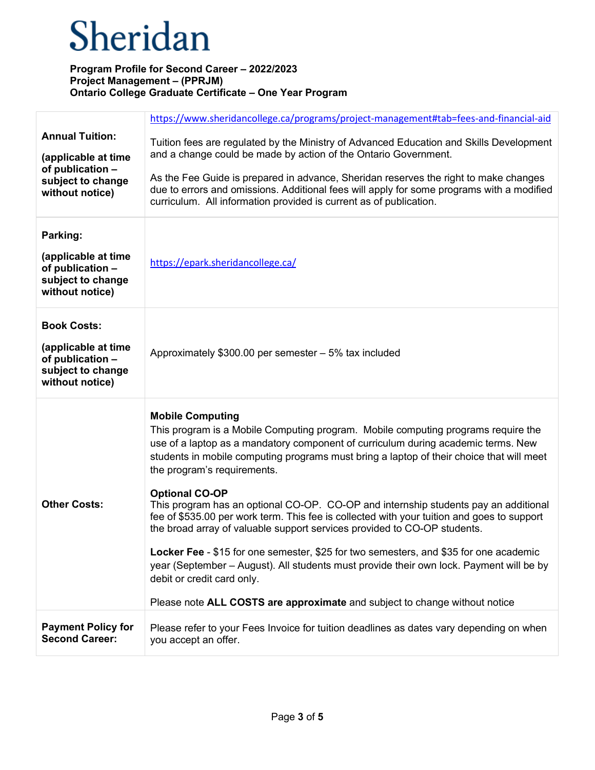# Sheridan

|                                                                                                           | https://www.sheridancollege.ca/programs/project-management#tab=fees-and-financial-aid                                                                                                                                                                                                                                        |
|-----------------------------------------------------------------------------------------------------------|------------------------------------------------------------------------------------------------------------------------------------------------------------------------------------------------------------------------------------------------------------------------------------------------------------------------------|
| <b>Annual Tuition:</b><br>(applicable at time<br>of publication -<br>subject to change<br>without notice) | Tuition fees are regulated by the Ministry of Advanced Education and Skills Development<br>and a change could be made by action of the Ontario Government.<br>As the Fee Guide is prepared in advance, Sheridan reserves the right to make changes                                                                           |
|                                                                                                           | due to errors and omissions. Additional fees will apply for some programs with a modified<br>curriculum. All information provided is current as of publication.                                                                                                                                                              |
| Parking:                                                                                                  |                                                                                                                                                                                                                                                                                                                              |
| (applicable at time<br>of publication -<br>subject to change<br>without notice)                           | https://epark.sheridancollege.ca/                                                                                                                                                                                                                                                                                            |
| <b>Book Costs:</b>                                                                                        |                                                                                                                                                                                                                                                                                                                              |
| (applicable at time<br>of publication -<br>subject to change<br>without notice)                           | Approximately \$300.00 per semester - 5% tax included                                                                                                                                                                                                                                                                        |
| <b>Other Costs:</b>                                                                                       | <b>Mobile Computing</b><br>This program is a Mobile Computing program. Mobile computing programs require the<br>use of a laptop as a mandatory component of curriculum during academic terms. New<br>students in mobile computing programs must bring a laptop of their choice that will meet<br>the program's requirements. |
|                                                                                                           | <b>Optional CO-OP</b><br>This program has an optional CO-OP. CO-OP and internship students pay an additional<br>fee of \$535.00 per work term. This fee is collected with your tuition and goes to support<br>the broad array of valuable support services provided to CO-OP students.                                       |
|                                                                                                           | Locker Fee - \$15 for one semester, \$25 for two semesters, and \$35 for one academic<br>year (September – August). All students must provide their own lock. Payment will be by<br>debit or credit card only.                                                                                                               |
|                                                                                                           | Please note ALL COSTS are approximate and subject to change without notice                                                                                                                                                                                                                                                   |
| <b>Payment Policy for</b><br><b>Second Career:</b>                                                        | Please refer to your Fees Invoice for tuition deadlines as dates vary depending on when<br>you accept an offer.                                                                                                                                                                                                              |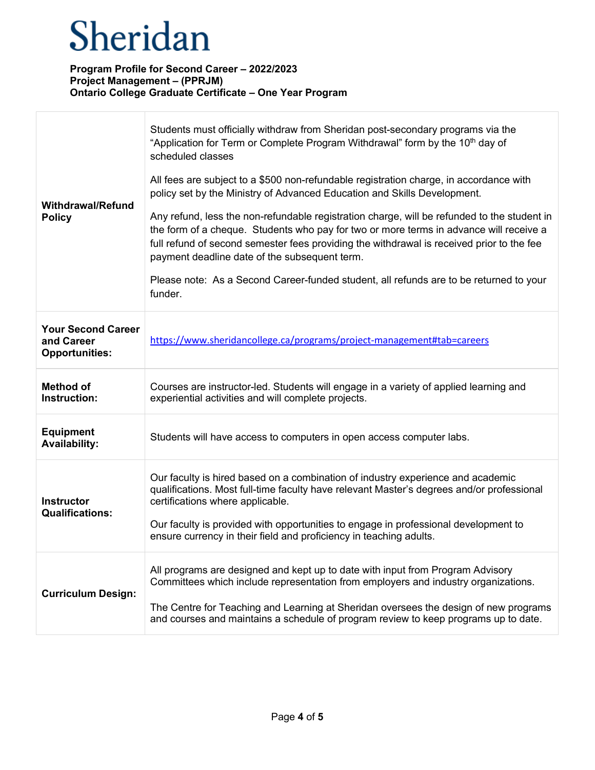T

Г

| <b>Withdrawal/Refund</b><br><b>Policy</b>                        | Students must officially withdraw from Sheridan post-secondary programs via the<br>"Application for Term or Complete Program Withdrawal" form by the 10 <sup>th</sup> day of<br>scheduled classes<br>All fees are subject to a \$500 non-refundable registration charge, in accordance with<br>policy set by the Ministry of Advanced Education and Skills Development.<br>Any refund, less the non-refundable registration charge, will be refunded to the student in<br>the form of a cheque. Students who pay for two or more terms in advance will receive a<br>full refund of second semester fees providing the withdrawal is received prior to the fee<br>payment deadline date of the subsequent term.<br>Please note: As a Second Career-funded student, all refunds are to be returned to your<br>funder. |
|------------------------------------------------------------------|---------------------------------------------------------------------------------------------------------------------------------------------------------------------------------------------------------------------------------------------------------------------------------------------------------------------------------------------------------------------------------------------------------------------------------------------------------------------------------------------------------------------------------------------------------------------------------------------------------------------------------------------------------------------------------------------------------------------------------------------------------------------------------------------------------------------|
| <b>Your Second Career</b><br>and Career<br><b>Opportunities:</b> | https://www.sheridancollege.ca/programs/project-management#tab=careers                                                                                                                                                                                                                                                                                                                                                                                                                                                                                                                                                                                                                                                                                                                                              |
| <b>Method of</b><br>Instruction:                                 | Courses are instructor-led. Students will engage in a variety of applied learning and<br>experiential activities and will complete projects.                                                                                                                                                                                                                                                                                                                                                                                                                                                                                                                                                                                                                                                                        |
| <b>Equipment</b><br><b>Availability:</b>                         | Students will have access to computers in open access computer labs.                                                                                                                                                                                                                                                                                                                                                                                                                                                                                                                                                                                                                                                                                                                                                |
| <b>Instructor</b><br><b>Qualifications:</b>                      | Our faculty is hired based on a combination of industry experience and academic<br>qualifications. Most full-time faculty have relevant Master's degrees and/or professional<br>certifications where applicable.<br>Our faculty is provided with opportunities to engage in professional development to<br>ensure currency in their field and proficiency in teaching adults.                                                                                                                                                                                                                                                                                                                                                                                                                                       |
| <b>Curriculum Design:</b>                                        | All programs are designed and kept up to date with input from Program Advisory<br>Committees which include representation from employers and industry organizations.<br>The Centre for Teaching and Learning at Sheridan oversees the design of new programs<br>and courses and maintains a schedule of program review to keep programs up to date.                                                                                                                                                                                                                                                                                                                                                                                                                                                                 |